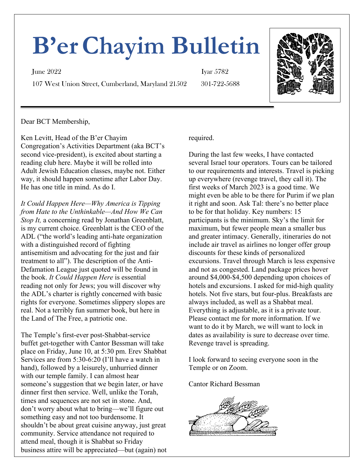# **B'erChayim Bulletin**

107 West Union Street, Cumberland, Maryland 21502 301-722-5688

**June 2022** Iyar 5782



Dear BCT Membership,

Ken Levitt, Head of the B'er Chayim Congregation's Activities Department (aka BCT's second vice-president), is excited about starting a reading club here. Maybe it will be rolled into Adult Jewish Education classes, maybe not. Either way, it should happen sometime after Labor Day. He has one title in mind. As do I.

*It Could Happen Here—Why America is Tipping from Hate to the Unthinkable—And How We Can Stop It,* a concerning read by Jonathan Greenblatt, is my current choice. Greenblatt is the CEO of the ADL ("the world's leading anti-hate organization with a distinguished record of fighting antisemitism and advocating for the just and fair treatment to all"). The description of the Anti-Defamation League just quoted will be found in the book. *It Could Happen Here* is essential reading not only for Jews; you will discover why the ADL's charter is rightly concerned with basic rights for everyone. Sometimes slippery slopes are real. Not a terribly fun summer book, but here in the Land of The Free, a patriotic one.

The Temple's first-ever post-Shabbat-service buffet get-together with Cantor Bessman will take place on Friday, June 10, at 5:30 pm. Erev Shabbat Services are from 5:30-6:20 (I'll have a watch in hand), followed by a leisurely, unhurried dinner with our temple family. I can almost hear someone's suggestion that we begin later, or have dinner first then service. Well, unlike the Torah, times and sequences are not set in stone. And, don't worry about what to bring—we'll figure out something easy and not too burdensome. It shouldn't be about great cuisine anyway, just great community. Service attendance not required to attend meal, though it is Shabbat so Friday business attire will be appreciated—but (again) not

required.

During the last few weeks, I have contacted several Israel tour operators. Tours can be tailored to our requirements and interests. Travel is picking up everywhere (revenge travel, they call it). The first weeks of March 2023 is a good time. We might even be able to be there for Purim if we plan it right and soon. Ask Tal: there's no better place to be for that holiday. Key numbers: 15 participants is the minimum. Sky's the limit for maximum, but fewer people mean a smaller bus and greater intimacy. Generally, itineraries do not include air travel as airlines no longer offer group discounts for these kinds of personalized excursions. Travel through March is less expensive and not as congested. Land package prices hover around \$4,000-\$4,500 depending upon choices of hotels and excursions. I asked for mid-high quality hotels. Not five stars, but four-plus. Breakfasts are always included, as well as a Shabbat meal. Everything is adjustable, as it is a private tour. Please contact me for more information. If we want to do it by March, we will want to lock in dates as availability is sure to decrease over time. Revenge travel is spreading.

I look forward to seeing everyone soon in the Temple or on Zoom.

Cantor Richard Bessman

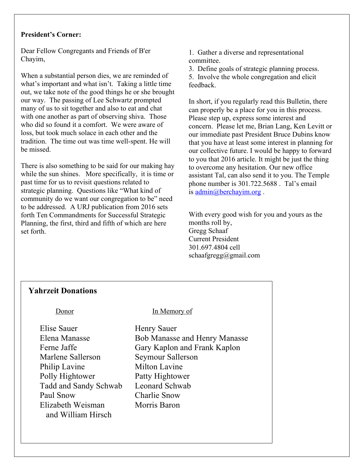#### **President's Corner:**

Dear Fellow Congregants and Friends of B'er Chayim,

When a substantial person dies, we are reminded of what's important and what isn't. Taking a little time out, we take note of the good things he or she brought our way. The passing of Lee Schwartz prompted many of us to sit together and also to eat and chat with one another as part of observing shiva. Those who did so found it a comfort. We were aware of loss, but took much solace in each other and the tradition. The time out was time well-spent. He will be missed.

There is also something to be said for our making hay while the sun shines. More specifically, it is time or past time for us to revisit questions related to strategic planning. Questions like "What kind of community do we want our congregation to be" need to be addressed. A URJ publication from 2016 sets forth Ten Commandments for Successful Strategic Planning, the first, third and fifth of which are here set forth.

1. Gather a diverse and representational committee.

3. Define goals of strategic planning process.

5. Involve the whole congregation and elicit feedback.

In short, if you regularly read this Bulletin, there can properly be a place for you in this process. Please step up, express some interest and concern. Please let me, Brian Lang, Ken Levitt or our immediate past President Bruce Dubins know that you have at least some interest in planning for our collective future. I would be happy to forward to you that 2016 article. It might be just the thing to overcome any hesitation. Our new office assistant Tal, can also send it to you. The Temple phone number is 301.722.5688 . Tal's email is admin@berchayim.org .

With every good wish for you and yours as the months roll by, Gregg Schaaf Current President 301.697.4804 cell  $schaafgreg@gmail.com$ 

#### **Yahrzeit Donations**

 $\overline{a}$ 

 Elise Sauer Henry Sauer Marlene Sallerson Seymour Sallerson Philip Lavine Milton Lavine Polly Hightower Patty Hightower Tadd and Sandy Schwab Leonard Schwab Paul Snow Charlie Snow Elizabeth Weisman Morris Baron and William Hirsch

#### Donor In Memory of

 Elena Manasse Bob Manasse and Henry Manasse Ferne Jaffe Gary Kaplon and Frank Kaplon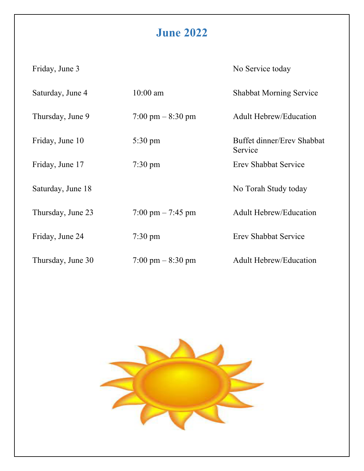## **June 2022**

Friday, June 3 No Service today

| Saturday, June 4  | $10:00$ am                          | <b>Shabbat Morning Service</b>        |
|-------------------|-------------------------------------|---------------------------------------|
| Thursday, June 9  | $7:00 \text{ pm} - 8:30 \text{ pm}$ | <b>Adult Hebrew/Education</b>         |
| Friday, June 10   | $5:30 \text{ pm}$                   | Buffet dinner/Erev Shabbat<br>Service |
| Friday, June 17   | $7:30 \text{ pm}$                   | <b>Erev Shabbat Service</b>           |
| Saturday, June 18 |                                     | No Torah Study today                  |
| Thursday, June 23 | $7:00 \text{ pm} - 7:45 \text{ pm}$ | <b>Adult Hebrew/Education</b>         |
| Friday, June 24   | $7:30 \text{ pm}$                   | <b>Erev Shabbat Service</b>           |
| Thursday, June 30 | $7:00 \text{ pm} - 8:30 \text{ pm}$ | <b>Adult Hebrew/Education</b>         |

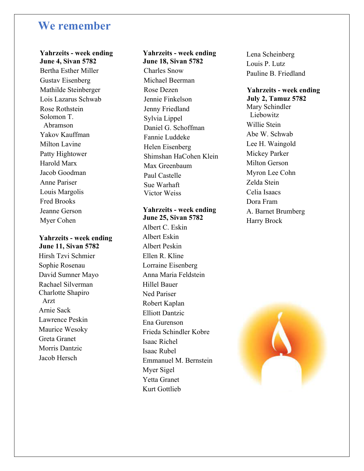### **We remember**

#### **Yahrzeits - week ending**

 **June 4, Sivan 5782** Bertha Esther Miller Gustav Eisenberg Mathilde Steinberger Lois Lazarus Schwab Rose Rothstein Solomon T. Abramson Yakov Kauffman Milton Lavine Patty Hightower Harold Marx Jacob Goodman Anne Pariser Louis Margolis Fred Brooks Jeanne Gerson Myer Cohen

#### **Yahrzeits - week ending June 11, Sivan 5782**

Hirsh Tzvi Schmier Sophie Rosenau David Sumner Mayo Rachael Silverman Charlotte Shapiro Arzt Arnie Sack Lawrence Peskin Maurice Wesoky Greta Granet Morris Dantzic Jacob Hersch

#### **Yahrzeits - week ending**

 **June 18, Sivan 5782** Charles Snow Michael Beerman Rose Dezen Jennie Finkelson Jenny Friedland Sylvia Lippel Daniel G. Schoffman Fannie Luddeke Helen Eisenberg Shimshan HaCohen Klein Max Greenbaum Paul Castelle Sue Warhaft Victor Weiss

#### **Yahrzeits - week ending June 25, Sivan 5782**

Albert C. Eskin Albert Eskin Albert Peskin Ellen R. Kline Lorraine Eisenberg Anna Maria Feldstein Hillel Bauer Ned Pariser Robert Kaplan Elliott Dantzic Ena Gurenson Frieda Schindler Kobre Isaac Richel Isaac Rubel Emmanuel M. Bernstein Myer Sigel Yetta Granet Kurt Gottlieb

Lena Scheinberg Louis P. Lutz Pauline B. Friedland

#### **Yahrzeits - week ending July 2, Tamuz 5782** Mary Schindler Liebowitz Willie Stein Abe W. Schwab Lee H. Waingold Mickey Parker Milton Gerson Myron Lee Cohn Zelda Stein Celia Isaacs Dora Fram A. Barnet Brumberg Harry Brock